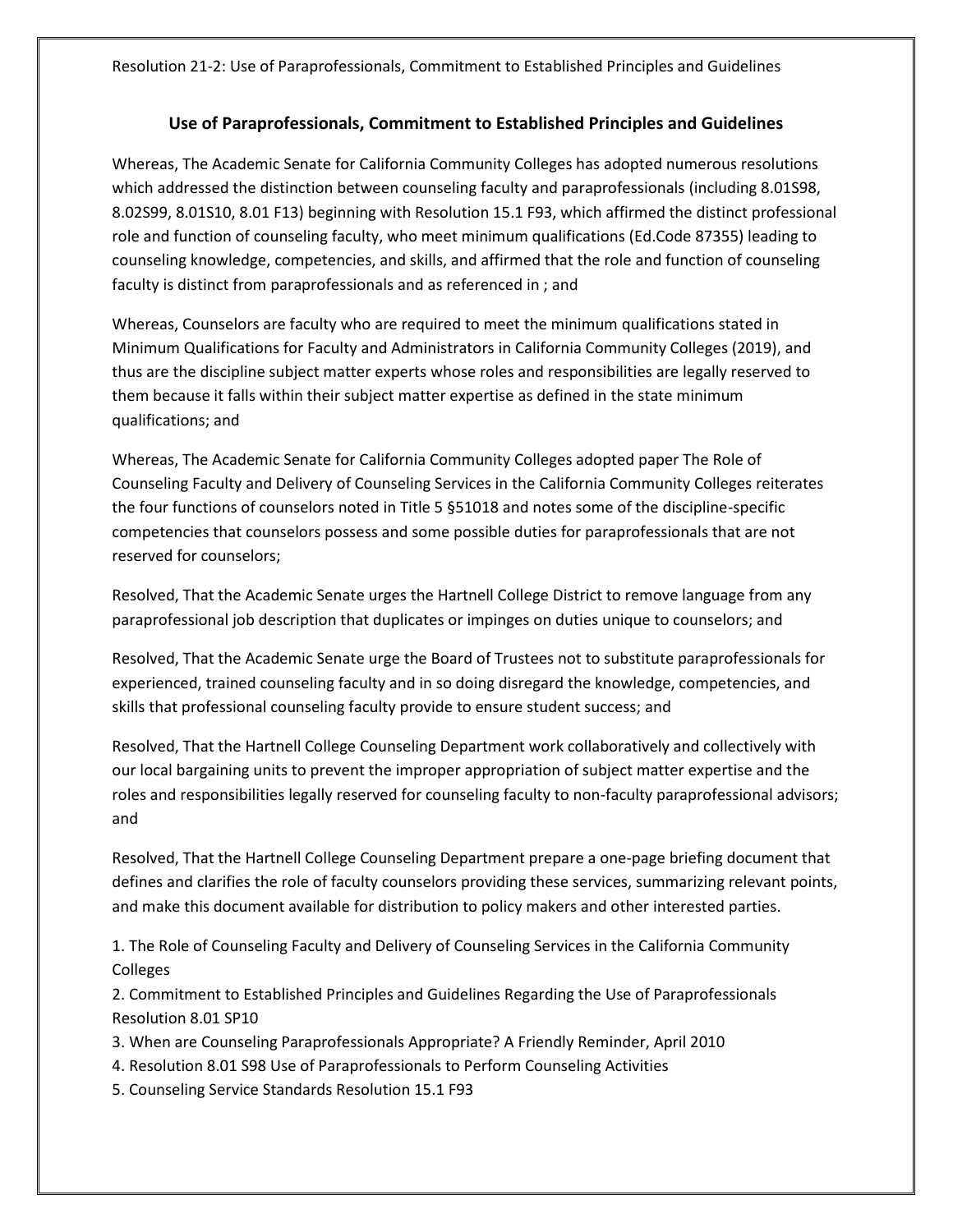## **Use of Paraprofessionals, Commitment to Established Principles and Guidelines**

Whereas, The Academic Senate for California Community Colleges has adopted numerous resolutions which addressed the distinction between counseling faculty and paraprofessionals (including 8.01S98, 8.02S99, 8.01S10, 8.01 F13) beginning with Resolution 15.1 F93, which affirmed the distinct professional role and function of counseling faculty, who meet minimum qualifications (Ed.Code 87355) leading to counseling knowledge, competencies, and skills, and affirmed that the role and function of counseling faculty is distinct from paraprofessionals and as referenced in ; and

Whereas, Counselors are faculty who are required to meet the minimum qualifications stated in Minimum Qualifications for Faculty and Administrators in California Community Colleges (2019), and thus are the discipline subject matter experts whose roles and responsibilities are legally reserved to them because it falls within their subject matter expertise as defined in the state minimum qualifications; and

Whereas, The Academic Senate for California Community Colleges adopted paper The Role of Counseling Faculty and Delivery of Counseling Services in the California Community Colleges reiterates the four functions of counselors noted in Title 5 §51018 and notes some of the discipline-specific competencies that counselors possess and some possible duties for paraprofessionals that are not reserved for counselors;

Resolved, That the Academic Senate urges the Hartnell College District to remove language from any paraprofessional job description that duplicates or impinges on duties unique to counselors; and

Resolved, That the Academic Senate urge the Board of Trustees not to substitute paraprofessionals for experienced, trained counseling faculty and in so doing disregard the knowledge, competencies, and skills that professional counseling faculty provide to ensure student success; and

Resolved, That the Hartnell College Counseling Department work collaboratively and collectively with our local bargaining units to prevent the improper appropriation of subject matter expertise and the roles and responsibilities legally reserved for counseling faculty to non-faculty paraprofessional advisors; and

Resolved, That the Hartnell College Counseling Department prepare a one-page briefing document that defines and clarifies the role of faculty counselors providing these services, summarizing relevant points, and make this document available for distribution to policy makers and other interested parties.

1. The Role of Counseling Faculty and Delivery of Counseling Services in the California Community Colleges

2. Commitment to Established Principles and Guidelines Regarding the Use of Paraprofessionals Resolution 8.01 SP10

- 3. When are Counseling Paraprofessionals Appropriate? A Friendly Reminder, April 2010
- 4. Resolution 8.01 S98 Use of Paraprofessionals to Perform Counseling Activities
- 5. Counseling Service Standards Resolution 15.1 F93